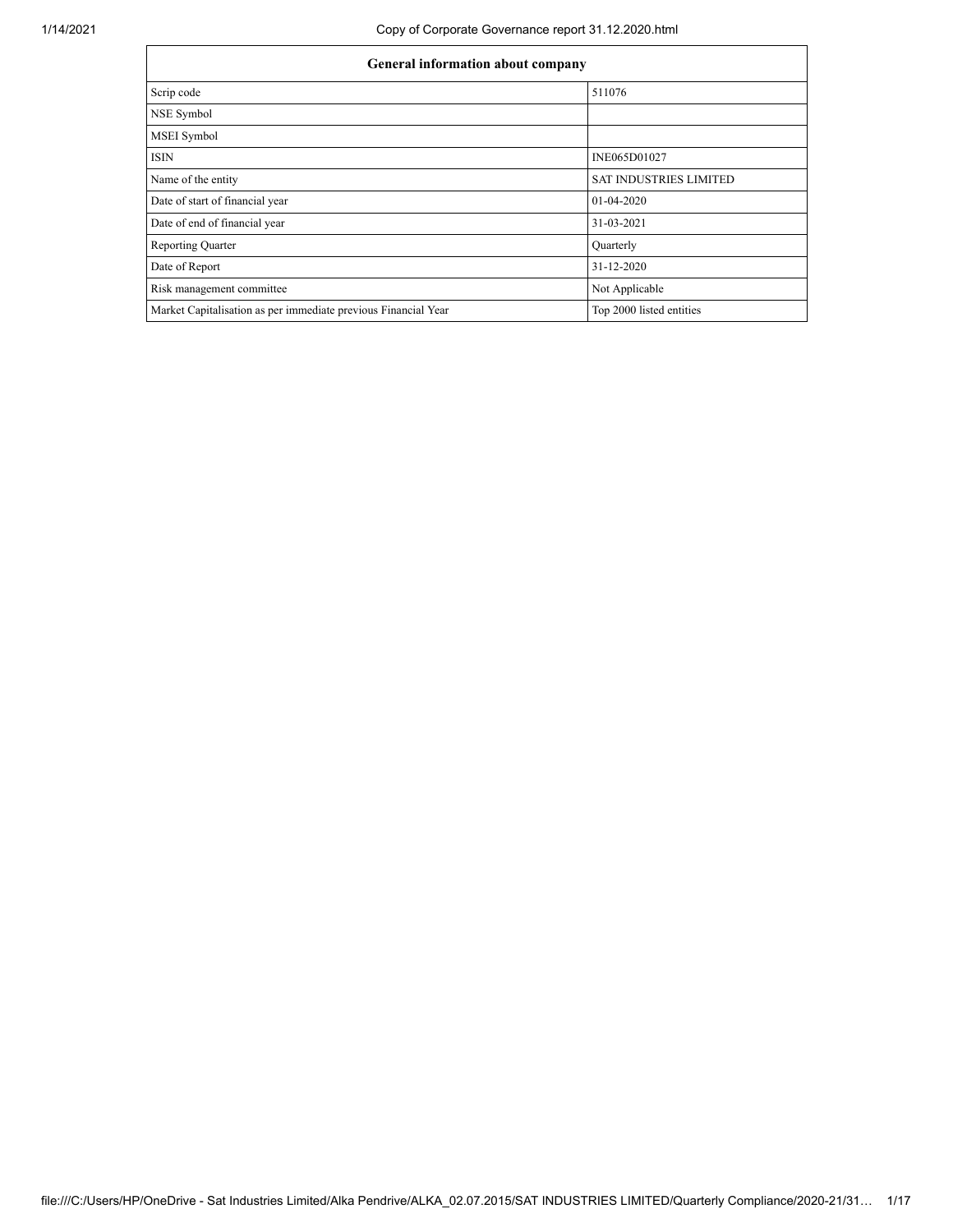| <b>General information about company</b>                       |                               |  |  |  |  |  |  |  |  |
|----------------------------------------------------------------|-------------------------------|--|--|--|--|--|--|--|--|
| Scrip code                                                     | 511076                        |  |  |  |  |  |  |  |  |
| NSE Symbol                                                     |                               |  |  |  |  |  |  |  |  |
| <b>MSEI</b> Symbol                                             |                               |  |  |  |  |  |  |  |  |
| <b>ISIN</b>                                                    | INE065D01027                  |  |  |  |  |  |  |  |  |
| Name of the entity                                             | <b>SAT INDUSTRIES LIMITED</b> |  |  |  |  |  |  |  |  |
| Date of start of financial year                                | 01-04-2020                    |  |  |  |  |  |  |  |  |
| Date of end of financial year                                  | 31-03-2021                    |  |  |  |  |  |  |  |  |
| <b>Reporting Quarter</b>                                       | Quarterly                     |  |  |  |  |  |  |  |  |
| Date of Report                                                 | 31-12-2020                    |  |  |  |  |  |  |  |  |
| Risk management committee                                      | Not Applicable                |  |  |  |  |  |  |  |  |
| Market Capitalisation as per immediate previous Financial Year | Top 2000 listed entities      |  |  |  |  |  |  |  |  |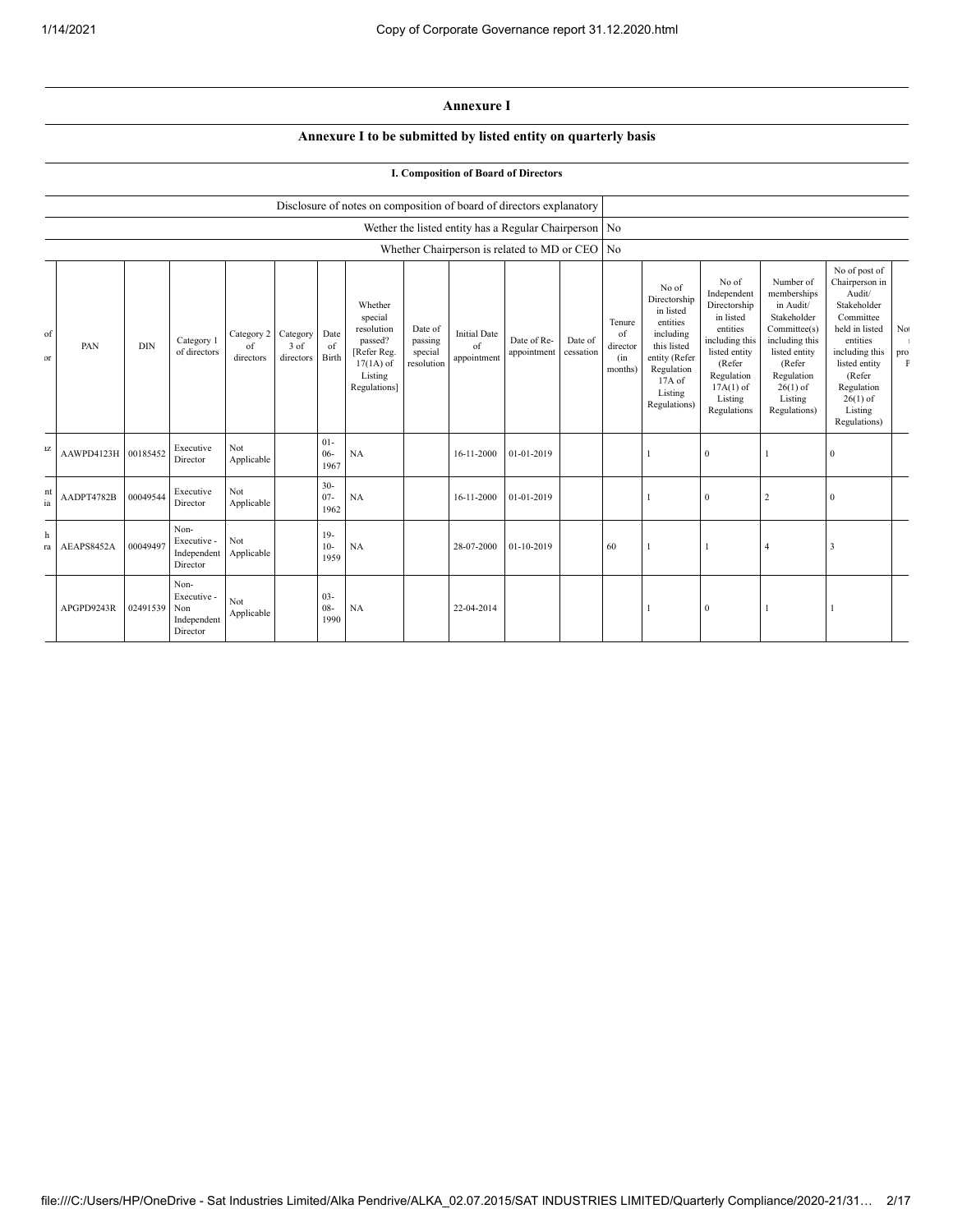## **Annexure I**

## **Annexure I to be submitted by listed entity on quarterly basis**

|                    |            |            |                                                       |                                        |                   |                          | Disclosure of notes on composition of board of directors explanatory                                 |                                             |                                                         |                            |                      |                                            |                                                                                                                                                |                                                                                                                                                                   |                                                                                                                                                                          |                                                                                                                                                                                                         |                                         |
|--------------------|------------|------------|-------------------------------------------------------|----------------------------------------|-------------------|--------------------------|------------------------------------------------------------------------------------------------------|---------------------------------------------|---------------------------------------------------------|----------------------------|----------------------|--------------------------------------------|------------------------------------------------------------------------------------------------------------------------------------------------|-------------------------------------------------------------------------------------------------------------------------------------------------------------------|--------------------------------------------------------------------------------------------------------------------------------------------------------------------------|---------------------------------------------------------------------------------------------------------------------------------------------------------------------------------------------------------|-----------------------------------------|
|                    |            |            |                                                       |                                        |                   |                          |                                                                                                      |                                             | Wether the listed entity has a Regular Chairperson   No |                            |                      |                                            |                                                                                                                                                |                                                                                                                                                                   |                                                                                                                                                                          |                                                                                                                                                                                                         |                                         |
|                    |            |            |                                                       |                                        |                   |                          |                                                                                                      |                                             | Whether Chairperson is related to MD or CEO No          |                            |                      |                                            |                                                                                                                                                |                                                                                                                                                                   |                                                                                                                                                                          |                                                                                                                                                                                                         |                                         |
| of<br><b>IC</b>    | PAN        | <b>DIN</b> | Category 1<br>of directors                            | Category 2 Category<br>of<br>directors | 3 of<br>directors | Date<br>of<br>Birth      | Whether<br>special<br>resolution<br>passed?<br>[Refer Reg.<br>$17(1A)$ of<br>Listing<br>Regulations] | Date of<br>passing<br>special<br>resolution | <b>Initial Date</b><br>of<br>appointment                | Date of Re-<br>appointment | Date of<br>cessation | Tenure<br>of<br>director<br>(in<br>months) | No of<br>Directorship<br>in listed<br>entities<br>including<br>this listed<br>entity (Refer<br>Regulation<br>17A of<br>Listing<br>Regulations) | No of<br>Independent<br>Directorship<br>in listed<br>entities<br>including this<br>listed entity<br>(Refer<br>Regulation<br>$17A(1)$ of<br>Listing<br>Regulations | Number of<br>memberships<br>in Audit/<br>Stakeholder<br>Committee(s)<br>including this<br>listed entity<br>(Refer<br>Regulation<br>$26(1)$ of<br>Listing<br>Regulations) | No of post of<br>Chairperson in<br>Audit/<br>Stakeholder<br>Committee<br>held in listed<br>entities<br>including this<br>listed entity<br>(Refer<br>Regulation<br>$26(1)$ of<br>Listing<br>Regulations) | No<br>$\operatorname{pro}$<br>$\;$ $\;$ |
| ιz                 | AAWPD4123H | 00185452   | Executive<br>Director                                 | Not<br>Applicable                      |                   | $01 -$<br>$06 -$<br>1967 | NA                                                                                                   |                                             | 16-11-2000                                              | 01-01-2019                 |                      |                                            |                                                                                                                                                | $\theta$                                                                                                                                                          |                                                                                                                                                                          | $\Omega$                                                                                                                                                                                                |                                         |
| nt<br>ia           | AADPT4782B | 00049544   | Executive<br>Director                                 | Not<br>Applicable                      |                   | $30 -$<br>$07 -$<br>1962 | NA                                                                                                   |                                             | 16-11-2000                                              | 01-01-2019                 |                      |                                            |                                                                                                                                                | $\mathbf{0}$                                                                                                                                                      | $\overline{c}$                                                                                                                                                           | $\overline{0}$                                                                                                                                                                                          |                                         |
| $\mathbf{h}$<br>ra | AEAPS8452A | 00049497   | Non-<br>Executive -<br>Independent<br>Director        | Not<br>Applicable                      |                   | $19-$<br>$10-$<br>1959   | NA                                                                                                   |                                             | 28-07-2000                                              | 01-10-2019                 |                      | 60                                         |                                                                                                                                                |                                                                                                                                                                   | 4                                                                                                                                                                        | 3                                                                                                                                                                                                       |                                         |
|                    | APGPD9243R | 02491539   | Non-<br>Executive -<br>Non<br>Independent<br>Director | Not<br>Applicable                      |                   | $03 -$<br>$08 -$<br>1990 | <b>NA</b>                                                                                            |                                             | 22-04-2014                                              |                            |                      |                                            |                                                                                                                                                | $\mathbf{0}$                                                                                                                                                      |                                                                                                                                                                          |                                                                                                                                                                                                         |                                         |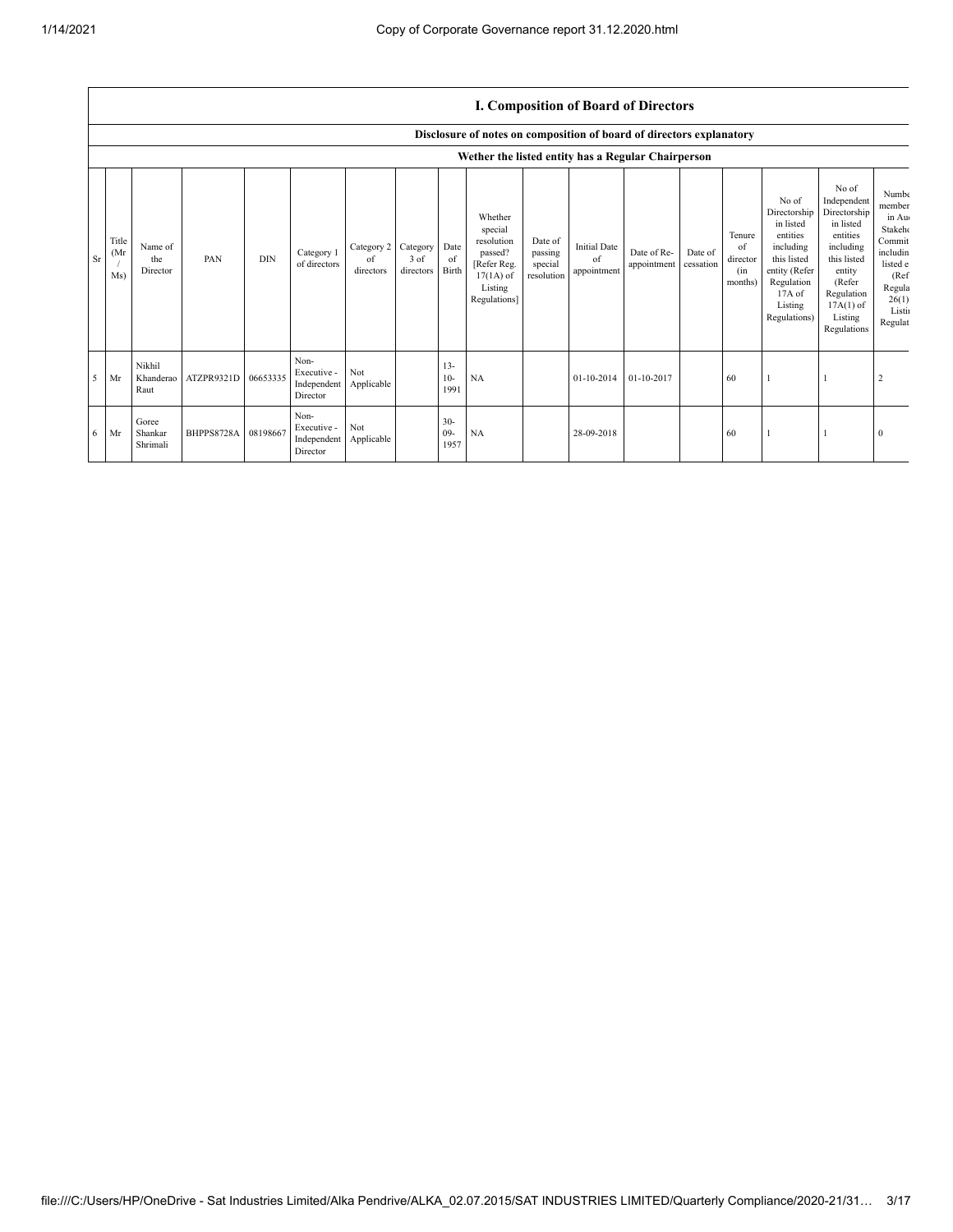$\mathsf I$ 

|    |                      |                                                    |            |            |                                                |                               |                               |                         |                                                                                                      |                                             |                                          | <b>I. Composition of Board of Directors</b> |                      |                                            |                                                                                                                                                  |                                                                                                                                                                      |                                                                                                                        |
|----|----------------------|----------------------------------------------------|------------|------------|------------------------------------------------|-------------------------------|-------------------------------|-------------------------|------------------------------------------------------------------------------------------------------|---------------------------------------------|------------------------------------------|---------------------------------------------|----------------------|--------------------------------------------|--------------------------------------------------------------------------------------------------------------------------------------------------|----------------------------------------------------------------------------------------------------------------------------------------------------------------------|------------------------------------------------------------------------------------------------------------------------|
|    |                      |                                                    |            |            |                                                |                               |                               |                         | Disclosure of notes on composition of board of directors explanatory                                 |                                             |                                          |                                             |                      |                                            |                                                                                                                                                  |                                                                                                                                                                      |                                                                                                                        |
|    |                      | Wether the listed entity has a Regular Chairperson |            |            |                                                |                               |                               |                         |                                                                                                      |                                             |                                          |                                             |                      |                                            |                                                                                                                                                  |                                                                                                                                                                      |                                                                                                                        |
| Sr | Title<br>(Mr)<br>Ms) | Name of<br>the<br>Director                         | PAN        | <b>DIN</b> | Category 1<br>of directors                     | Category 2<br>of<br>directors | Category<br>3 of<br>directors | Date<br>of<br>Birth     | Whether<br>special<br>resolution<br>passed?<br>[Refer Reg.<br>$17(1A)$ of<br>Listing<br>Regulations] | Date of<br>passing<br>special<br>resolution | <b>Initial Date</b><br>of<br>appointment | Date of Re-<br>appointment                  | Date of<br>cessation | Tenure<br>of<br>director<br>(in<br>months) | No of<br>Directorship<br>in listed<br>entities<br>including<br>this listed<br>entity (Refer<br>Regulation<br>$17A$ of<br>Listing<br>Regulations) | No of<br>Independent<br>Directorship<br>in listed<br>entities<br>including<br>this listed<br>entity<br>(Refer<br>Regulation<br>$17A(1)$ of<br>Listing<br>Regulations | Numbe<br>member<br>in Au<br>Stakeho<br>Commit<br>includin<br>listed e<br>(Ref)<br>Regula<br>26(1)<br>Listin<br>Regulat |
| 5  | Mr                   | Nikhil<br>Khanderao<br>Raut                        | ATZPR9321D | 06653335   | Non-<br>Executive -<br>Independent<br>Director | Not<br>Applicable             |                               | $13 -$<br>$10-$<br>1991 | NA                                                                                                   |                                             | 01-10-2014                               | 01-10-2017                                  |                      | 60                                         |                                                                                                                                                  |                                                                                                                                                                      | $\overline{2}$                                                                                                         |
| 6  | Mr                   | Goree<br>Shankar<br>Shrimali                       | BHPPS8728A | 08198667   | Non-<br>Executive -<br>Independent<br>Director | Not<br>Applicable             |                               | $30 -$<br>$09-$<br>1957 | NA                                                                                                   |                                             | 28-09-2018                               |                                             |                      | 60                                         |                                                                                                                                                  |                                                                                                                                                                      |                                                                                                                        |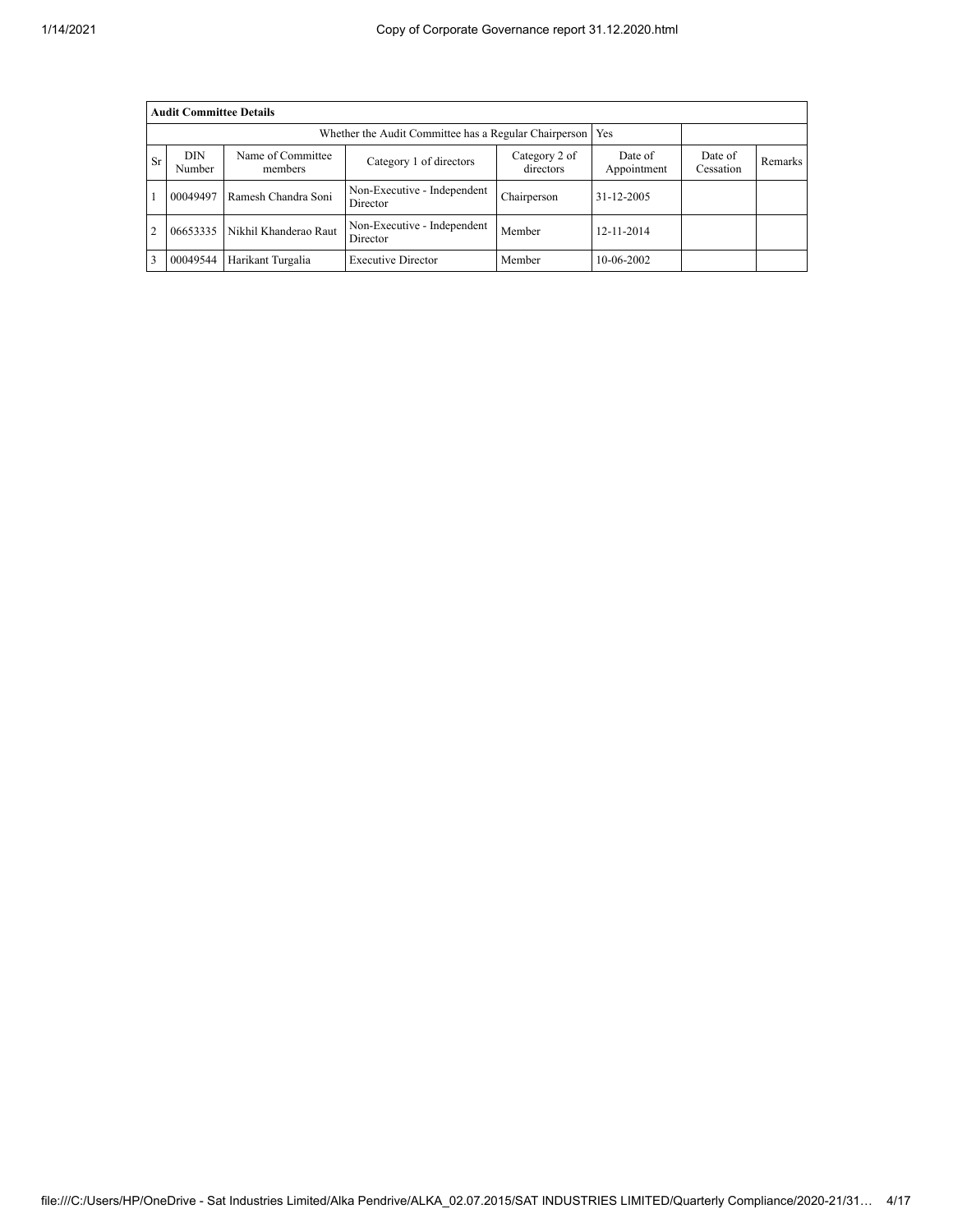|                                                                                                                                                                                  | <b>Audit Committee Details</b>                              |                       |                                         |             |            |  |  |  |  |  |  |  |  |
|----------------------------------------------------------------------------------------------------------------------------------------------------------------------------------|-------------------------------------------------------------|-----------------------|-----------------------------------------|-------------|------------|--|--|--|--|--|--|--|--|
|                                                                                                                                                                                  | Whether the Audit Committee has a Regular Chairperson   Yes |                       |                                         |             |            |  |  |  |  |  |  |  |  |
| Name of Committee<br>DIN<br>Date of<br>Date of<br>Category 2 of<br><b>Sr</b><br>Category 1 of directors<br>Remarks<br>directors<br>Number<br>Appointment<br>members<br>Cessation |                                                             |                       |                                         |             |            |  |  |  |  |  |  |  |  |
|                                                                                                                                                                                  | 00049497                                                    | Ramesh Chandra Soni   | Non-Executive - Independent<br>Director | Chairperson | 31-12-2005 |  |  |  |  |  |  |  |  |
| $\overline{2}$                                                                                                                                                                   | 06653335                                                    | Nikhil Khanderao Raut | Non-Executive - Independent<br>Director | Member      | 12-11-2014 |  |  |  |  |  |  |  |  |
| 3                                                                                                                                                                                | 00049544                                                    | Harikant Turgalia     | <b>Executive Director</b>               | Member      | 10-06-2002 |  |  |  |  |  |  |  |  |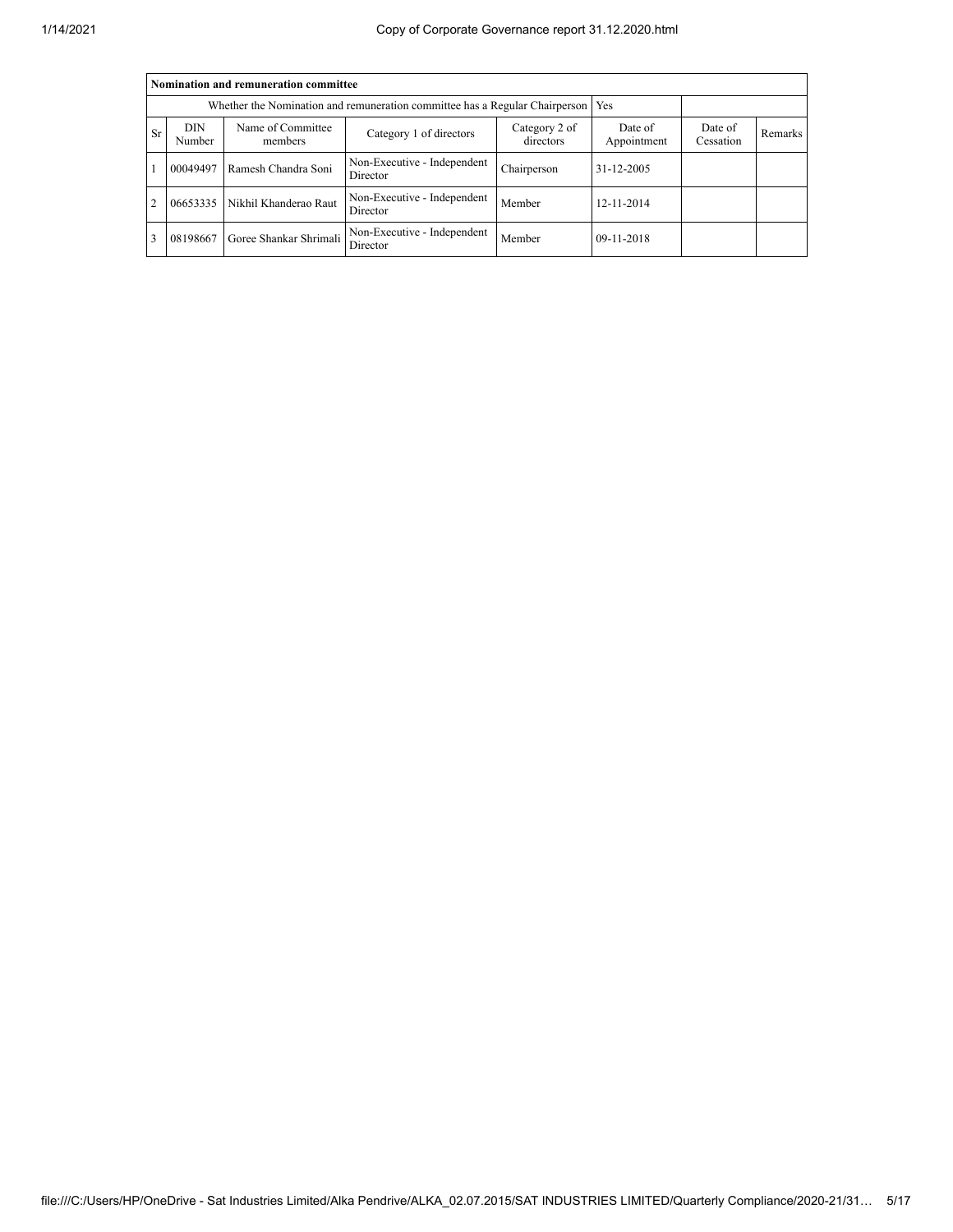|                | Nomination and remuneration committee                                       |                              |                                         |                      |            |  |  |  |  |  |  |  |
|----------------|-----------------------------------------------------------------------------|------------------------------|-----------------------------------------|----------------------|------------|--|--|--|--|--|--|--|
|                | Whether the Nomination and remuneration committee has a Regular Chairperson |                              |                                         |                      |            |  |  |  |  |  |  |  |
| <b>Sr</b>      | <b>DIN</b><br>Number                                                        | Name of Committee<br>members | Date of<br>Appointment                  | Date of<br>Cessation | Remarks    |  |  |  |  |  |  |  |
|                | 00049497                                                                    | Ramesh Chandra Soni          | Non-Executive - Independent<br>Director | Chairperson          | 31-12-2005 |  |  |  |  |  |  |  |
| $\overline{c}$ | 06653335                                                                    | Nikhil Khanderao Raut        | Non-Executive - Independent<br>Director | Member               | 12-11-2014 |  |  |  |  |  |  |  |
| 3              | 08198667                                                                    | Goree Shankar Shrimali       | Non-Executive - Independent<br>Director | Member               | 09-11-2018 |  |  |  |  |  |  |  |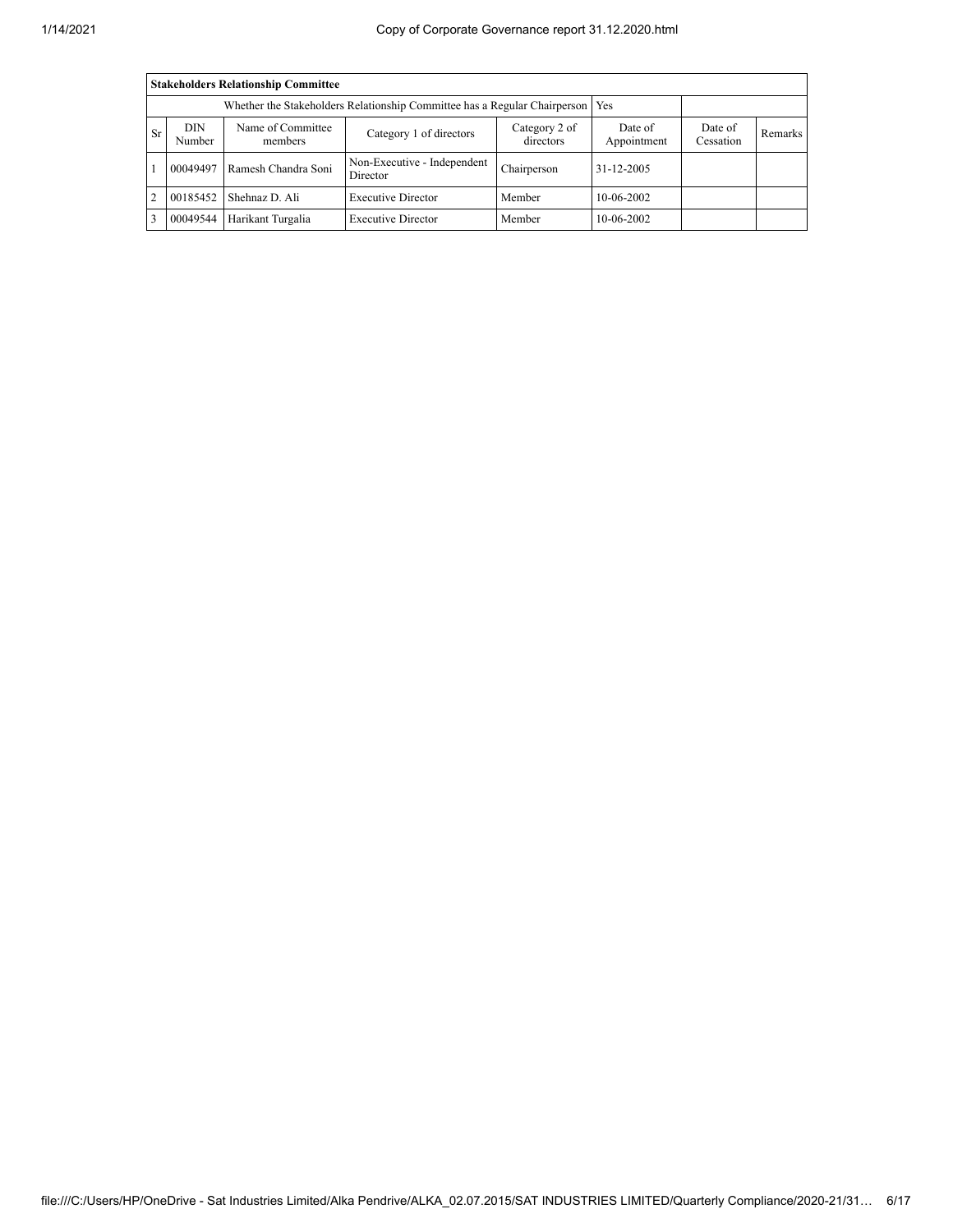|                                                                                                                                                                              | <b>Stakeholders Relationship Committee</b>                                      |                     |                                         |             |            |  |  |  |  |  |  |  |
|------------------------------------------------------------------------------------------------------------------------------------------------------------------------------|---------------------------------------------------------------------------------|---------------------|-----------------------------------------|-------------|------------|--|--|--|--|--|--|--|
|                                                                                                                                                                              | Whether the Stakeholders Relationship Committee has a Regular Chairperson   Yes |                     |                                         |             |            |  |  |  |  |  |  |  |
| <b>DIN</b><br>Name of Committee<br>Date of<br>Category 2 of<br>Date of<br><b>Sr</b><br>Category 1 of directors<br>directors<br>Appointment<br>Number<br>Cessation<br>members |                                                                                 |                     |                                         |             |            |  |  |  |  |  |  |  |
|                                                                                                                                                                              | 00049497                                                                        | Ramesh Chandra Soni | Non-Executive - Independent<br>Director | Chairperson | 31-12-2005 |  |  |  |  |  |  |  |
| $\mathfrak{D}$<br>00185452<br><b>Executive Director</b><br>Shehnaz D. Ali                                                                                                    |                                                                                 | Member              | 10-06-2002                              |             |            |  |  |  |  |  |  |  |
|                                                                                                                                                                              | 00049544                                                                        | Harikant Turgalia   | <b>Executive Director</b>               | Member      | 10-06-2002 |  |  |  |  |  |  |  |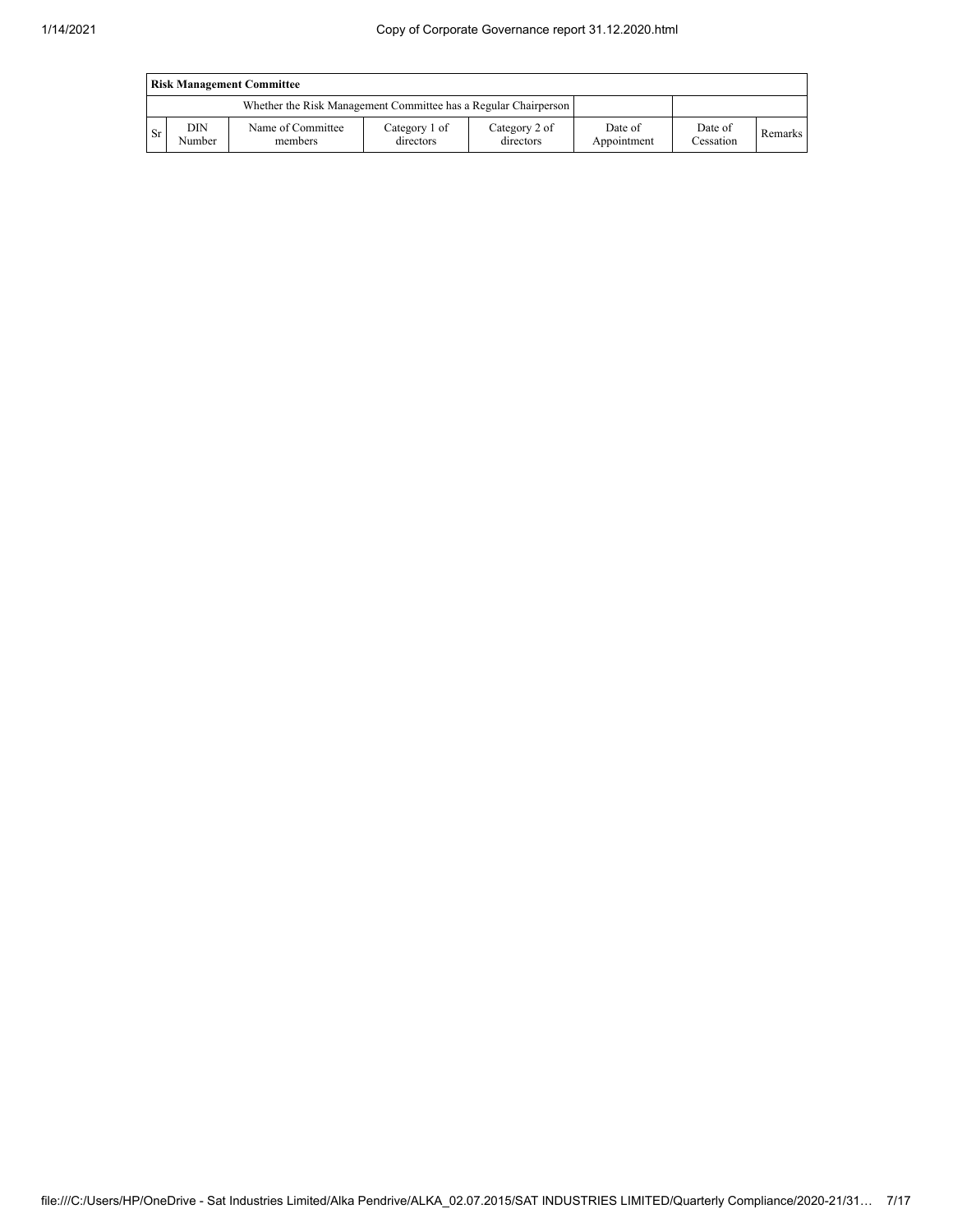|    | <b>Risk Management Committee</b>                                |                              |                            |                            |                        |                      |         |  |  |  |  |  |
|----|-----------------------------------------------------------------|------------------------------|----------------------------|----------------------------|------------------------|----------------------|---------|--|--|--|--|--|
|    | Whether the Risk Management Committee has a Regular Chairperson |                              |                            |                            |                        |                      |         |  |  |  |  |  |
| Sr | DIN<br>Number                                                   | Name of Committee<br>members | Category 1 of<br>directors | Category 2 of<br>directors | Date of<br>Appointment | Date of<br>Cessation | Remarks |  |  |  |  |  |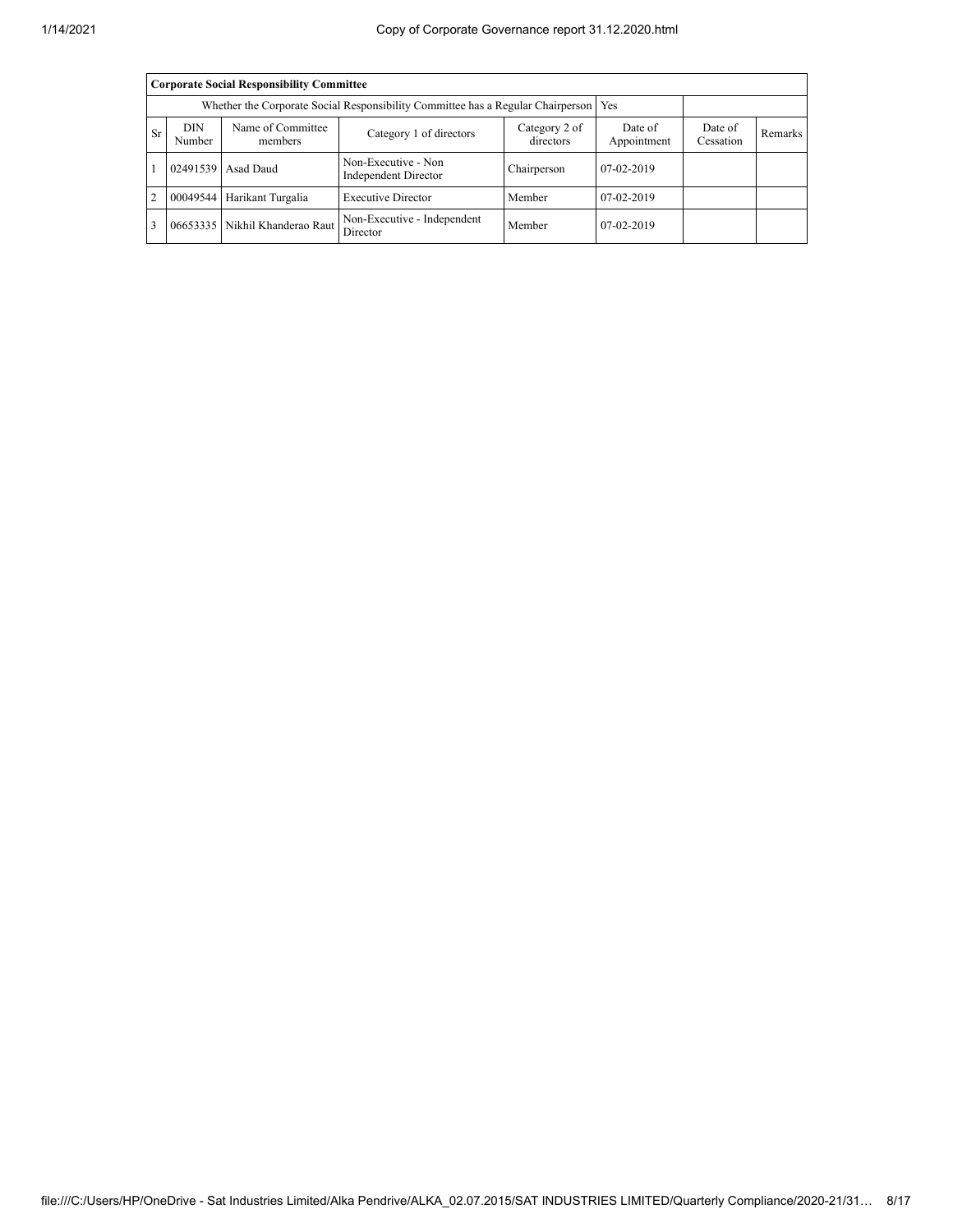|                | <b>Corporate Social Responsibility Committee</b>                                      |                                |                                             |                            |                        |                      |         |  |  |  |  |  |
|----------------|---------------------------------------------------------------------------------------|--------------------------------|---------------------------------------------|----------------------------|------------------------|----------------------|---------|--|--|--|--|--|
|                | Whether the Corporate Social Responsibility Committee has a Regular Chairperson   Yes |                                |                                             |                            |                        |                      |         |  |  |  |  |  |
| Sr             | <b>DIN</b><br>Number                                                                  | Name of Committee<br>members   | Category 1 of directors                     | Category 2 of<br>directors | Date of<br>Appointment | Date of<br>Cessation | Remarks |  |  |  |  |  |
|                |                                                                                       | 02491539 Asad Daud             | Non-Executive - Non<br>Independent Director | Chairperson                | 07-02-2019             |                      |         |  |  |  |  |  |
| 2              |                                                                                       | 00049544 Harikant Turgalia     | <b>Executive Director</b>                   | Member                     | 07-02-2019             |                      |         |  |  |  |  |  |
| $\overline{3}$ |                                                                                       | 06653335 Nikhil Khanderao Raut | Non-Executive - Independent<br>Director     | Member                     | 07-02-2019             |                      |         |  |  |  |  |  |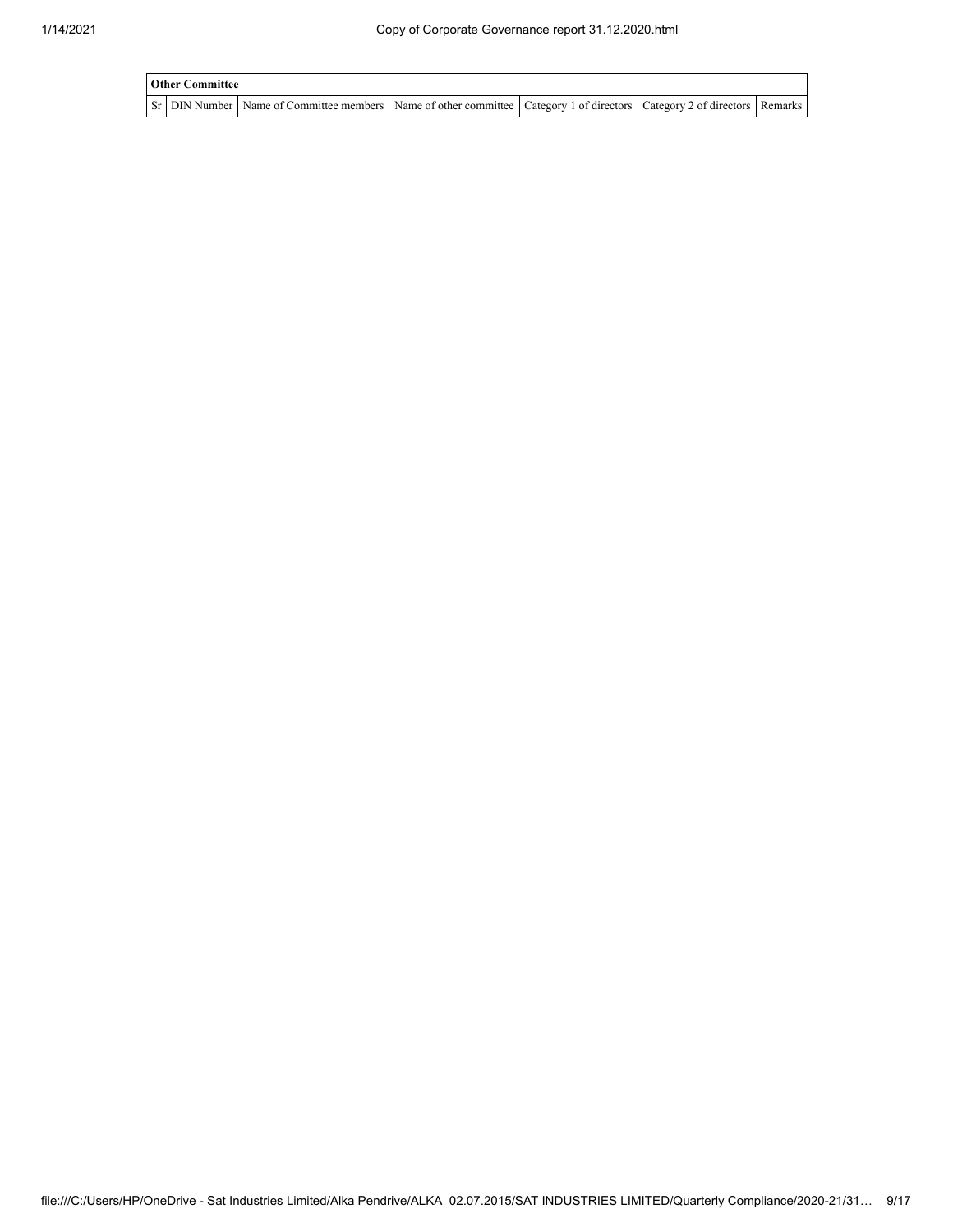| <b>Other Committee</b> |                                                                                                                                     |  |  |
|------------------------|-------------------------------------------------------------------------------------------------------------------------------------|--|--|
|                        | Sr   DIN Number   Name of Committee members   Name of other committee   Category 1 of directors   Category 2 of directors   Remarks |  |  |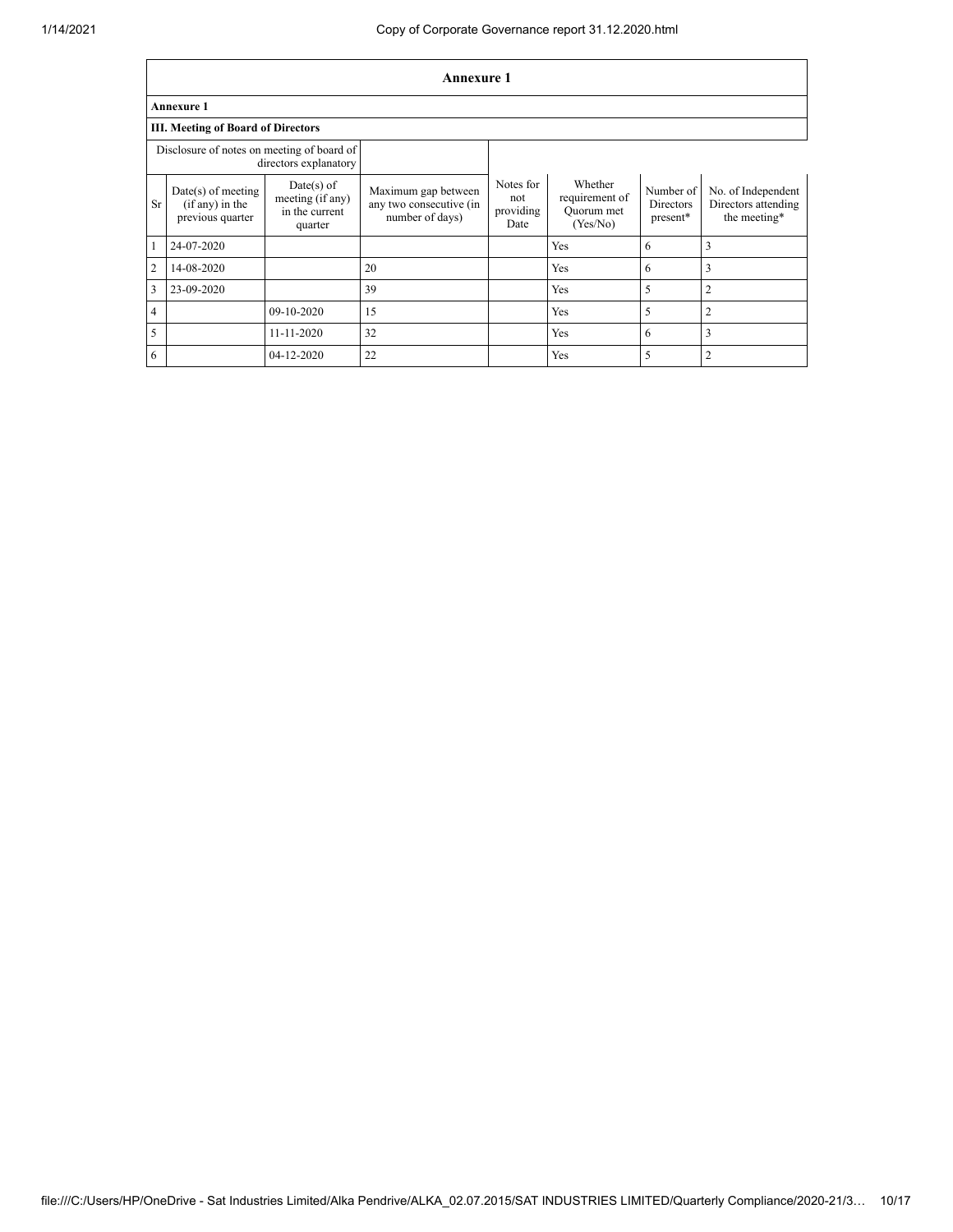|                                                                     | <b>Annexure 1</b>                                           |                                                               |                                                                   |                                       |                                                     |                                    |                                                           |  |  |  |  |
|---------------------------------------------------------------------|-------------------------------------------------------------|---------------------------------------------------------------|-------------------------------------------------------------------|---------------------------------------|-----------------------------------------------------|------------------------------------|-----------------------------------------------------------|--|--|--|--|
|                                                                     | <b>Annexure 1</b>                                           |                                                               |                                                                   |                                       |                                                     |                                    |                                                           |  |  |  |  |
|                                                                     | <b>III. Meeting of Board of Directors</b>                   |                                                               |                                                                   |                                       |                                                     |                                    |                                                           |  |  |  |  |
| Disclosure of notes on meeting of board of<br>directors explanatory |                                                             |                                                               |                                                                   |                                       |                                                     |                                    |                                                           |  |  |  |  |
| <b>Sr</b>                                                           | $Date(s)$ of meeting<br>(if any) in the<br>previous quarter | $Date(s)$ of<br>meeting (if any)<br>in the current<br>quarter | Maximum gap between<br>any two consecutive (in<br>number of days) | Notes for<br>not<br>providing<br>Date | Whether<br>requirement of<br>Quorum met<br>(Yes/No) | Number of<br>Directors<br>present* | No. of Independent<br>Directors attending<br>the meeting* |  |  |  |  |
| $\mathbf{1}$                                                        | 24-07-2020                                                  |                                                               |                                                                   |                                       | Yes                                                 | 6                                  | 3                                                         |  |  |  |  |
| $\overline{2}$                                                      | 14-08-2020                                                  |                                                               | 20                                                                |                                       | <b>Yes</b>                                          | 6                                  | 3                                                         |  |  |  |  |
| $\overline{3}$                                                      | 23-09-2020                                                  |                                                               | 39                                                                |                                       | Yes                                                 | 5                                  | 2                                                         |  |  |  |  |
| 4                                                                   |                                                             | 09-10-2020                                                    | 15                                                                |                                       | Yes                                                 | 5                                  | $\overline{2}$                                            |  |  |  |  |
| 5                                                                   |                                                             | 11-11-2020                                                    | 32                                                                |                                       | Yes                                                 | 6                                  | 3                                                         |  |  |  |  |
| 6                                                                   |                                                             | 04-12-2020                                                    | 22                                                                |                                       | Yes                                                 | 5                                  | 2                                                         |  |  |  |  |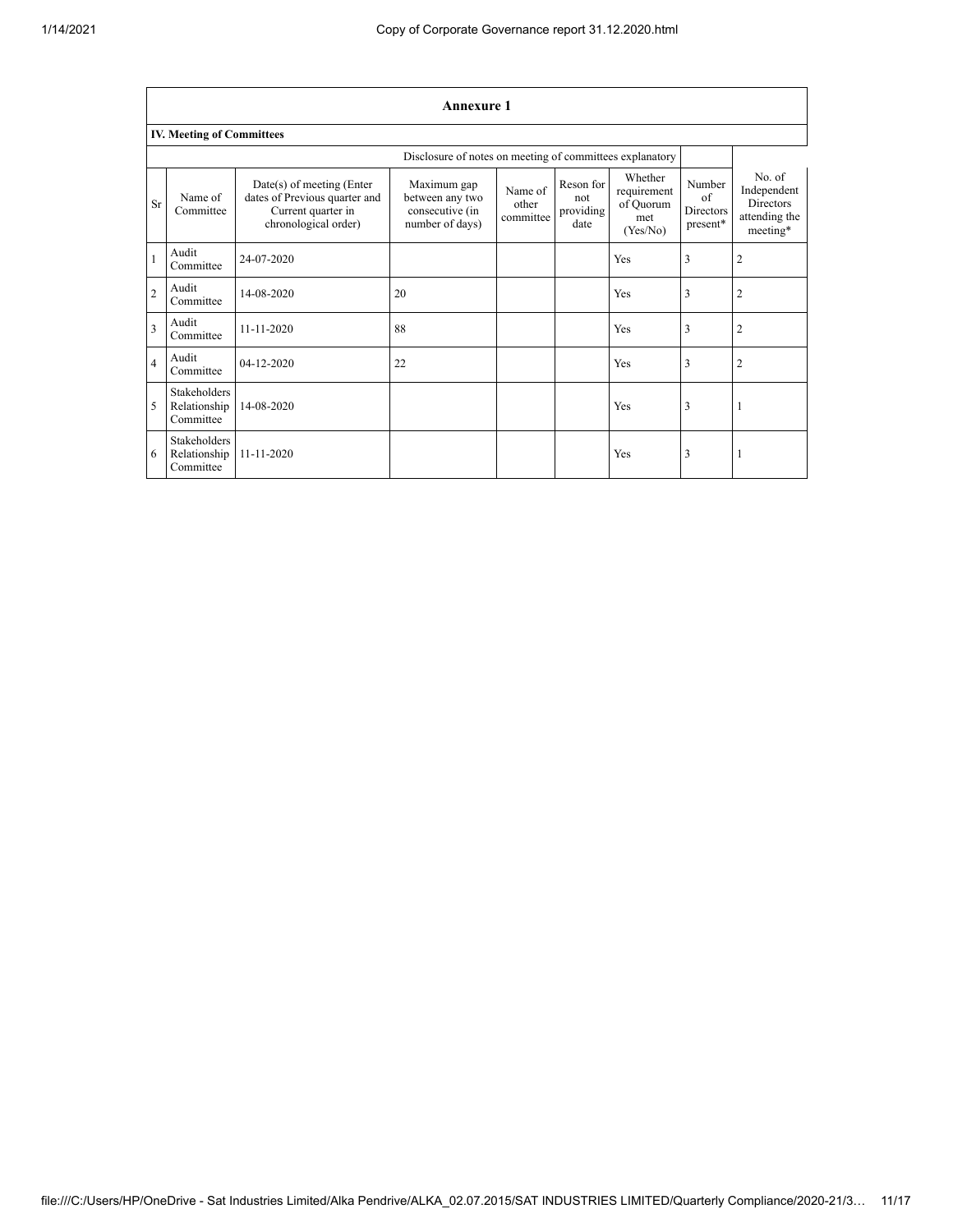|                | <b>Annexure 1</b>                                |                                                                                                            |                                                                      |                               |                                       |                                                        |                                                      |                                                                        |  |  |  |  |
|----------------|--------------------------------------------------|------------------------------------------------------------------------------------------------------------|----------------------------------------------------------------------|-------------------------------|---------------------------------------|--------------------------------------------------------|------------------------------------------------------|------------------------------------------------------------------------|--|--|--|--|
|                | <b>IV. Meeting of Committees</b>                 |                                                                                                            |                                                                      |                               |                                       |                                                        |                                                      |                                                                        |  |  |  |  |
|                |                                                  |                                                                                                            |                                                                      |                               |                                       |                                                        |                                                      |                                                                        |  |  |  |  |
| Sr             | Name of<br>Committee                             | $Date(s)$ of meeting (Enter<br>dates of Previous quarter and<br>Current quarter in<br>chronological order) | Maximum gap<br>between any two<br>consecutive (in<br>number of days) | Name of<br>other<br>committee | Reson for<br>not<br>providing<br>date | Whether<br>requirement<br>of Quorum<br>met<br>(Yes/No) | Number<br>$\sigma$ f<br><b>Directors</b><br>present* | No. of<br>Independent<br><b>Directors</b><br>attending the<br>meeting* |  |  |  |  |
| $\mathbf{1}$   | Audit<br>Committee                               | 24-07-2020                                                                                                 |                                                                      |                               |                                       | Yes                                                    | 3                                                    | $\overline{2}$                                                         |  |  |  |  |
| $\overline{2}$ | Audit<br>Committee                               | 14-08-2020                                                                                                 | 20                                                                   |                               |                                       | Yes                                                    | 3                                                    | $\overline{2}$                                                         |  |  |  |  |
| 3              | Audit<br>Committee                               | 11-11-2020                                                                                                 | 88                                                                   |                               |                                       | Yes                                                    | 3                                                    | $\overline{2}$                                                         |  |  |  |  |
| $\overline{4}$ | Audit<br>Committee                               | 04-12-2020                                                                                                 | 22                                                                   |                               |                                       | Yes                                                    | 3                                                    | $\overline{2}$                                                         |  |  |  |  |
| 5              | <b>Stakeholders</b><br>Relationship<br>Committee | 14-08-2020                                                                                                 |                                                                      |                               |                                       | Yes                                                    | 3                                                    | -1                                                                     |  |  |  |  |
| 6              | <b>Stakeholders</b><br>Relationship<br>Committee | 11-11-2020                                                                                                 |                                                                      |                               |                                       | Yes                                                    | 3                                                    | -1                                                                     |  |  |  |  |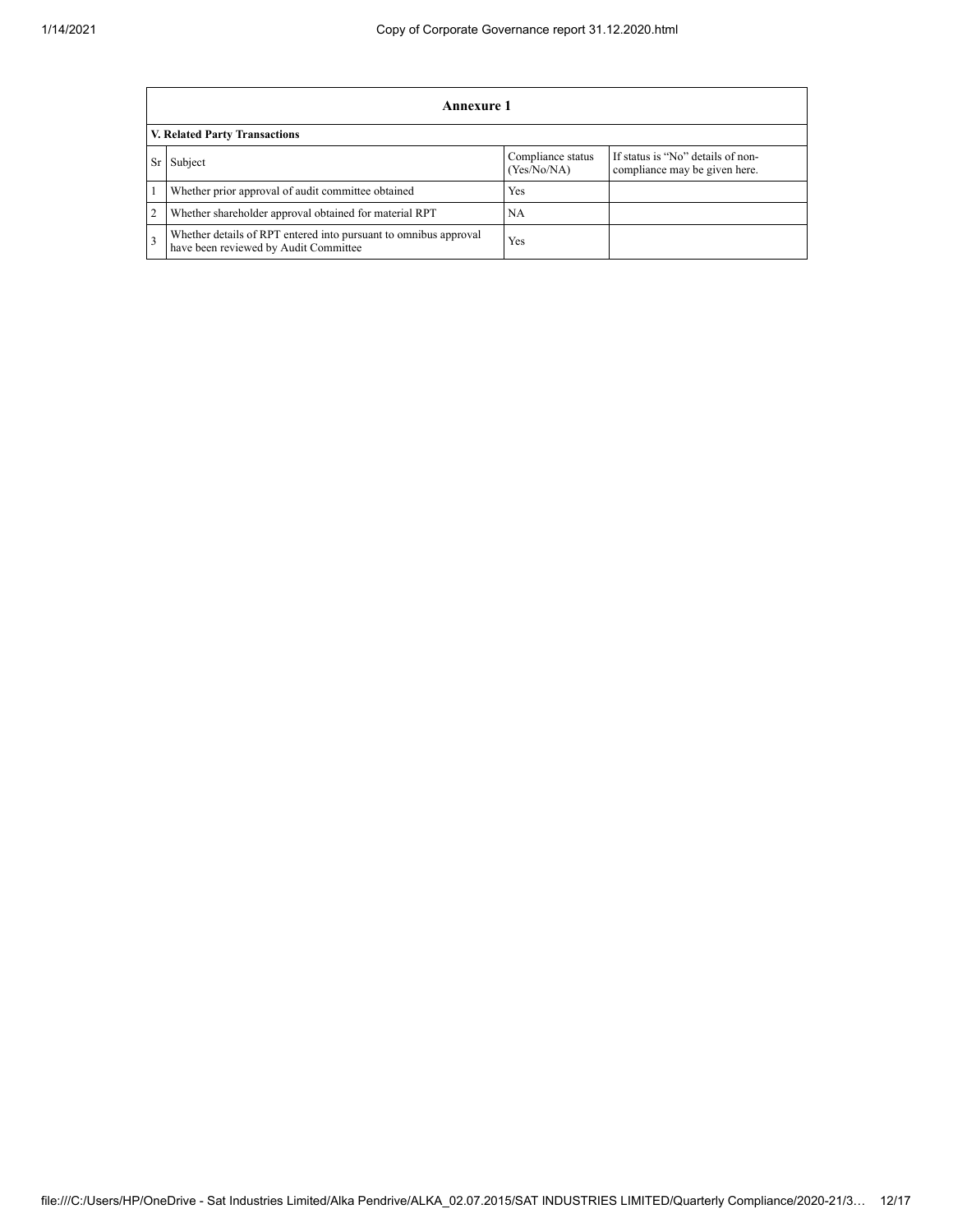|                | <b>Annexure 1</b>                                                                                         |                                  |                                                                    |  |  |
|----------------|-----------------------------------------------------------------------------------------------------------|----------------------------------|--------------------------------------------------------------------|--|--|
|                | V. Related Party Transactions                                                                             |                                  |                                                                    |  |  |
| Sr             | Subject                                                                                                   | Compliance status<br>(Yes/No/NA) | If status is "No" details of non-<br>compliance may be given here. |  |  |
|                | Whether prior approval of audit committee obtained                                                        | Yes                              |                                                                    |  |  |
| $\overline{2}$ | Whether shareholder approval obtained for material RPT                                                    | <b>NA</b>                        |                                                                    |  |  |
| 3              | Whether details of RPT entered into pursuant to omnibus approval<br>have been reviewed by Audit Committee | Yes                              |                                                                    |  |  |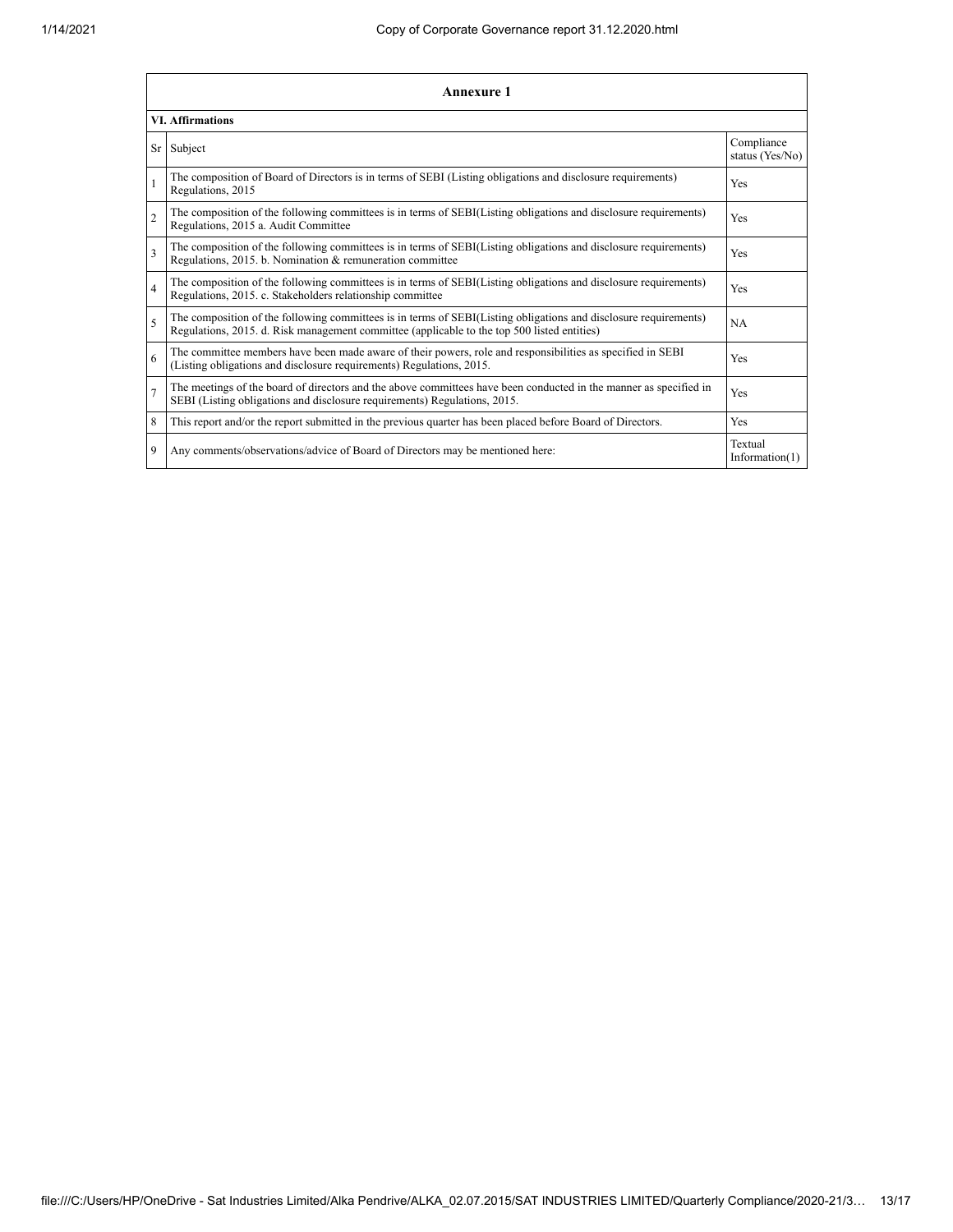|                         | <b>Annexure 1</b>                                                                                                                                                                                               |                               |  |  |  |
|-------------------------|-----------------------------------------------------------------------------------------------------------------------------------------------------------------------------------------------------------------|-------------------------------|--|--|--|
| <b>VI.</b> Affirmations |                                                                                                                                                                                                                 |                               |  |  |  |
| Sr                      | Subject                                                                                                                                                                                                         | Compliance<br>status (Yes/No) |  |  |  |
|                         | The composition of Board of Directors is in terms of SEBI (Listing obligations and disclosure requirements)<br>Regulations, 2015                                                                                | Yes                           |  |  |  |
| $\overline{2}$          | The composition of the following committees is in terms of SEBI(Listing obligations and disclosure requirements)<br>Regulations, 2015 a. Audit Committee                                                        | Yes                           |  |  |  |
| $\overline{\mathbf{3}}$ | The composition of the following committees is in terms of SEBI(Listing obligations and disclosure requirements)<br>Regulations, 2015. b. Nomination & remuneration committee                                   | <b>Yes</b>                    |  |  |  |
| $\overline{4}$          | The composition of the following committees is in terms of SEBI(Listing obligations and disclosure requirements)<br>Regulations, 2015. c. Stakeholders relationship committee                                   | Yes                           |  |  |  |
| 5                       | The composition of the following committees is in terms of SEBI(Listing obligations and disclosure requirements)<br>Regulations, 2015. d. Risk management committee (applicable to the top 500 listed entities) | <b>NA</b>                     |  |  |  |
| 6                       | The committee members have been made aware of their powers, role and responsibilities as specified in SEBI<br>(Listing obligations and disclosure requirements) Regulations, 2015.                              | <b>Yes</b>                    |  |  |  |
| $\overline{7}$          | The meetings of the board of directors and the above committees have been conducted in the manner as specified in<br>SEBI (Listing obligations and disclosure requirements) Regulations, 2015.                  | Yes                           |  |  |  |
| 8                       | This report and/or the report submitted in the previous quarter has been placed before Board of Directors.                                                                                                      | <b>Yes</b>                    |  |  |  |
| 9                       | Any comments/observations/advice of Board of Directors may be mentioned here:                                                                                                                                   | Textual<br>Information $(1)$  |  |  |  |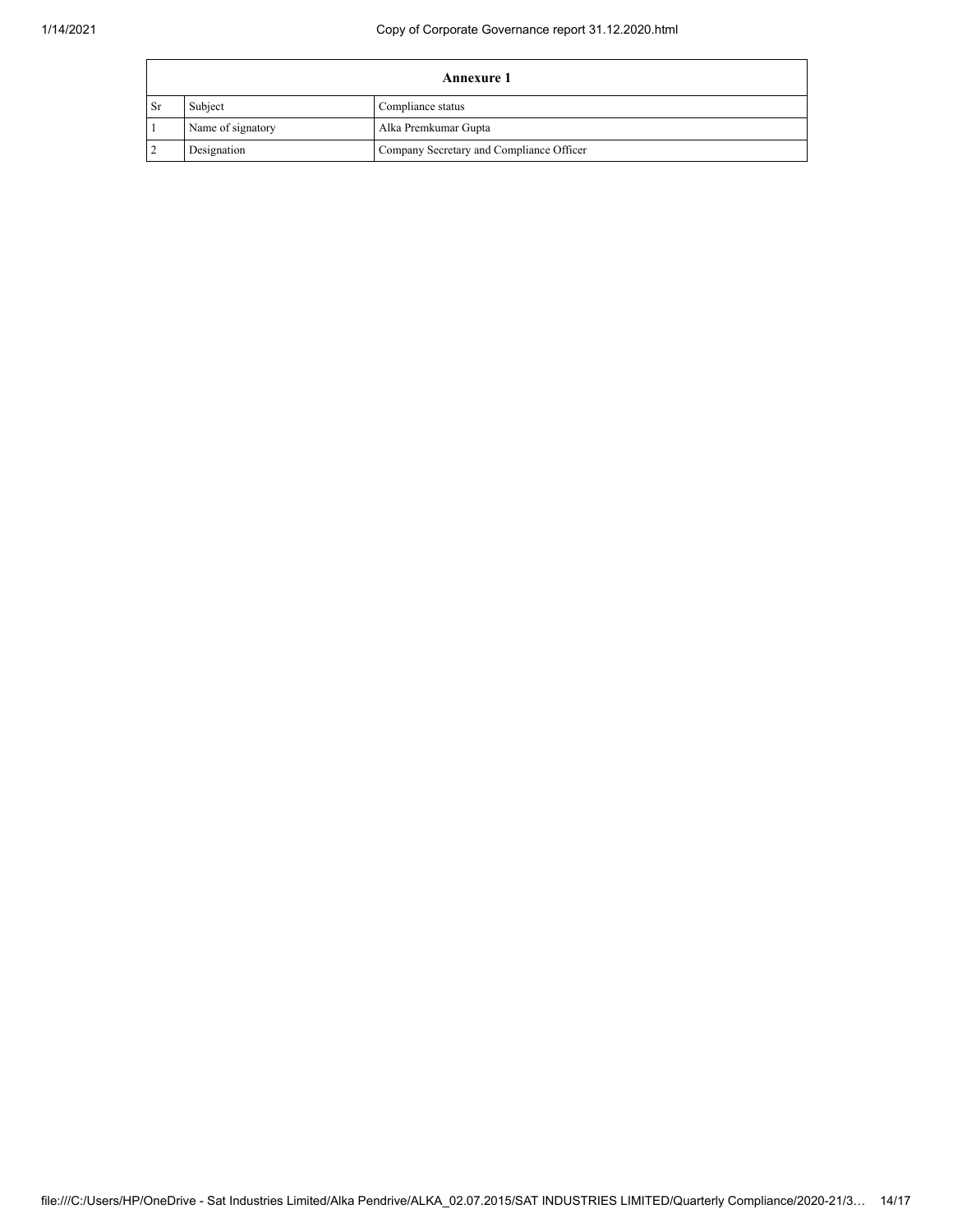| <b>Annexure 1</b> |                   |                                          |
|-------------------|-------------------|------------------------------------------|
| Sr S              | Subject           | Compliance status                        |
|                   | Name of signatory | Alka Premkumar Gupta                     |
|                   | Designation       | Company Secretary and Compliance Officer |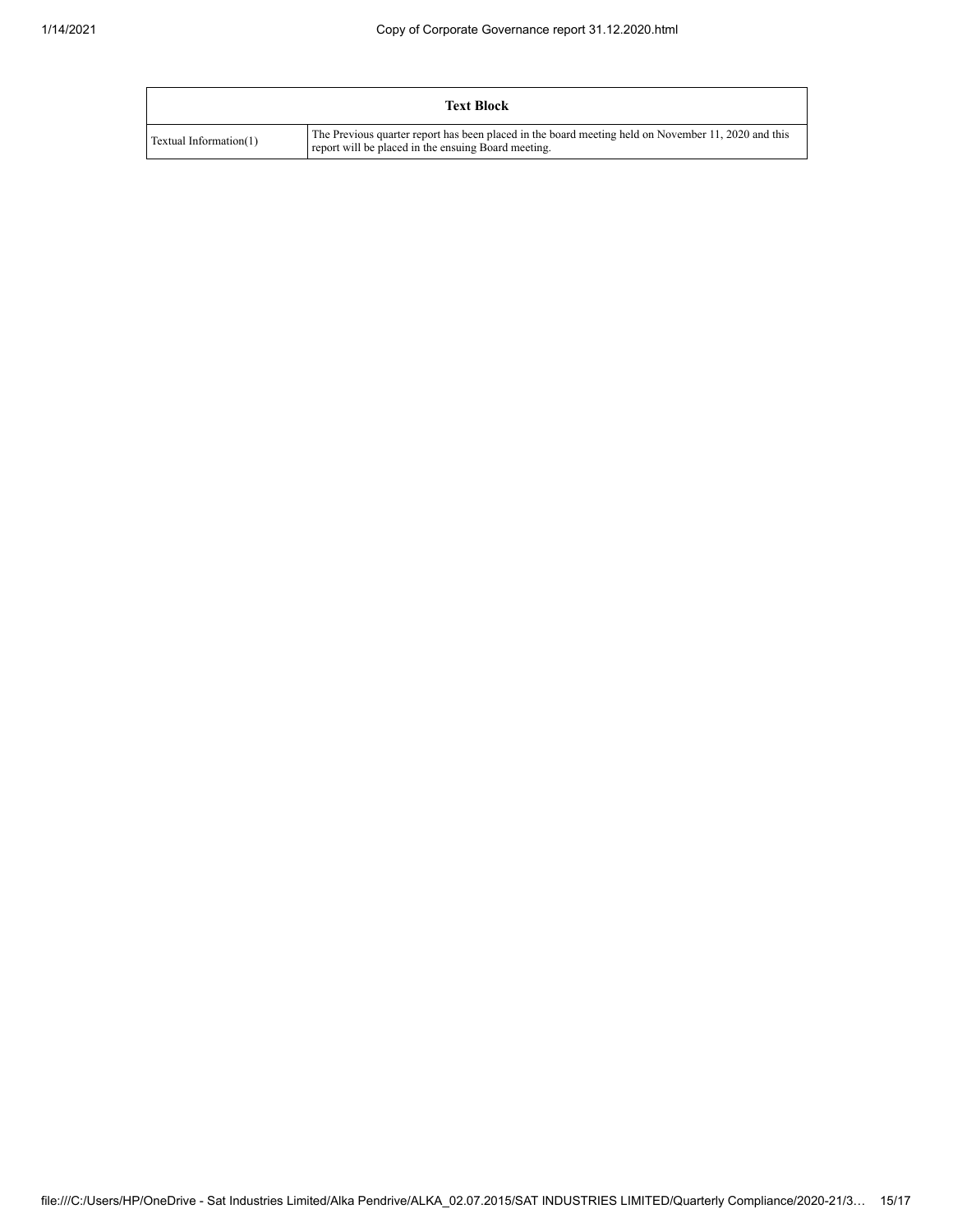| <b>Text Block</b>      |                                                                                                                                                            |  |  |  |
|------------------------|------------------------------------------------------------------------------------------------------------------------------------------------------------|--|--|--|
| Textual Information(1) | The Previous quarter report has been placed in the board meeting held on November 11, 2020 and this<br>report will be placed in the ensuing Board meeting. |  |  |  |